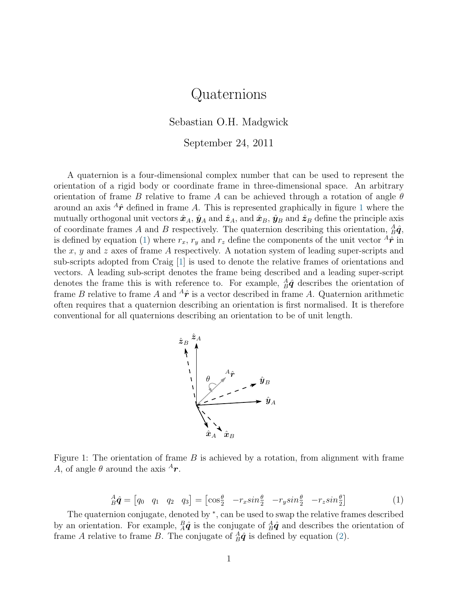## Quaternions

Sebastian O.H. Madgwick

September 24, 2011

A quaternion is a four-dimensional complex number that can be used to represent the orientation of a rigid body or coordinate frame in three-dimensional space. An arbitrary orientation of frame B relative to frame A can be achieved through a rotation of angle  $\theta$ around an axis  ${}^{A}\hat{r}$  defined in frame A. This is represented graphically in figure [1](#page-0-0) where the mutually orthogonal unit vectors  $\hat{x}_A$ ,  $\hat{y}_A$  and  $\hat{z}_A$ , and  $\hat{x}_B$ ,  $\hat{y}_B$  and  $\hat{z}_B$  define the principle axis of coordinate frames A and B respectively. The quaternion describing this orientation,  $_A^A \hat{\boldsymbol{q}}$ , is defined by equation [\(1\)](#page-0-1) where  $r_x$ ,  $r_y$  and  $r_z$  define the components of the unit vector  ${}^{A}\hat{\mathbf{r}}$  in the x, y and z axes of frame A respectively. A notation system of leading super-scripts and sub-scripts adopted from Craig [\[1\]](#page-2-0) is used to denote the relative frames of orientations and vectors. A leading sub-script denotes the frame being described and a leading super-script denotes the frame this is with reference to. For example,  $_A^A\hat{q}$  describes the orientation of frame B relative to frame A and  ${}^{A}\hat{r}$  is a vector described in frame A. Quaternion arithmetic often requires that a quaternion describing an orientation is first normalised. It is therefore conventional for all quaternions describing an orientation to be of unit length.



<span id="page-0-0"></span>Figure 1: The orientation of frame  $B$  is achieved by a rotation, from alignment with frame A, of angle  $\theta$  around the axis  ${}^{A}r$ .

<span id="page-0-1"></span>
$$
{}_{B}^{A}\hat{\boldsymbol{q}} = \begin{bmatrix} q_0 & q_1 & q_2 & q_3 \end{bmatrix} = \begin{bmatrix} \cos\frac{\theta}{2} & -r_x\sin\frac{\theta}{2} & -r_y\sin\frac{\theta}{2} & -r_z\sin\frac{\theta}{2} \end{bmatrix} \tag{1}
$$

The quaternion conjugate, denoted by \*, can be used to swap the relative frames described by an orientation. For example,  $_A^B \hat{q}$  is the conjugate of  $_A^A \hat{q}$  and describes the orientation of frame A relative to frame B. The conjugate of  $_A^A \hat{q}$  is defined by equation [\(2\)](#page-1-0).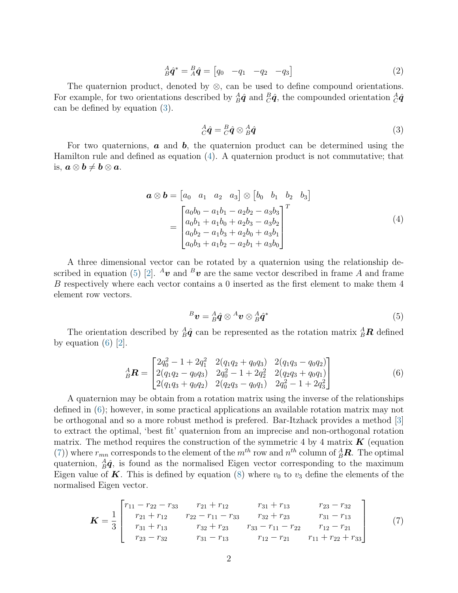<span id="page-1-0"></span>
$$
{}_{B}^{A}\hat{\boldsymbol{q}}^{*} = {}_{A}^{B}\hat{\boldsymbol{q}} = \begin{bmatrix} q_{0} & -q_{1} & -q_{2} & -q_{3} \end{bmatrix}
$$
 (2)

The quaternion product, denoted by  $\otimes$ , can be used to define compound orientations. For example, for two orientations described by  $_A^A\hat{q}$  and  $_B^B\hat{q}$ , the compounded orientation  $_A^A\hat{q}$ can be defined by equation [\(3\)](#page-1-1).

<span id="page-1-1"></span>
$$
{}_{C}^{A}\hat{\boldsymbol{q}} = {}_{C}^{B}\hat{\boldsymbol{q}} \otimes {}_{B}^{A}\hat{\boldsymbol{q}} \tag{3}
$$

For two quaternions,  $\boldsymbol{a}$  and  $\boldsymbol{b}$ , the quaternion product can be determined using the Hamilton rule and defined as equation [\(4\)](#page-1-2). A quaternion product is not commutative; that is,  $a \otimes b \neq b \otimes a$ .

$$
\mathbf{a} \otimes \mathbf{b} = \begin{bmatrix} a_0 & a_1 & a_2 & a_3 \end{bmatrix} \otimes \begin{bmatrix} b_0 & b_1 & b_2 & b_3 \end{bmatrix}
$$

$$
= \begin{bmatrix} a_0b_0 - a_1b_1 - a_2b_2 - a_3b_3 \\ a_0b_1 + a_1b_0 + a_2b_3 - a_3b_2 \\ a_0b_2 - a_1b_3 + a_2b_0 + a_3b_1 \\ a_0b_3 + a_1b_2 - a_2b_1 + a_3b_0 \end{bmatrix}^T
$$
(4)

<span id="page-1-2"></span>A three dimensional vector can be rotated by a quaternion using the relationship de-scribed in equation [\(5\)](#page-1-3) [\[2\]](#page-2-1).  ${}^{A}\mathbf{v}$  and  ${}^{B}\mathbf{v}$  are the same vector described in frame A and frame B respectively where each vector contains a 0 inserted as the first element to make them 4 element row vectors.

<span id="page-1-3"></span>
$$
{}^{B}\boldsymbol{v} = {}^{A}_{B}\hat{\boldsymbol{q}} \otimes {}^{A}\boldsymbol{v} \otimes {}^{A}_{B}\hat{\boldsymbol{q}}^{*} \tag{5}
$$

The orientation described by  $_A^A \hat{q}$  can be represented as the rotation matrix  $_A^A \mathbf{R}$  defined by equation  $(6)$  [\[2\]](#page-2-1).

<span id="page-1-4"></span>
$$
{}_{B}^{A}\boldsymbol{R} = \begin{bmatrix} 2q_{0}^{2} - 1 + 2q_{1}^{2} & 2(q_{1}q_{2} + q_{0}q_{3}) & 2(q_{1}q_{3} - q_{0}q_{2}) \\ 2(q_{1}q_{2} - q_{0}q_{3}) & 2q_{0}^{2} - 1 + 2q_{2}^{2} & 2(q_{2}q_{3} + q_{0}q_{1}) \\ 2(q_{1}q_{3} + q_{0}q_{2}) & 2(q_{2}q_{3} - q_{0}q_{1}) & 2q_{0}^{2} - 1 + 2q_{3}^{2} \end{bmatrix}
$$
(6)

A quaternion may be obtain from a rotation matrix using the inverse of the relationships defined in [\(6\)](#page-1-4); however, in some practical applications an available rotation matrix may not be orthogonal and so a more robust method is prefered. Bar-Itzhack provides a method [\[3\]](#page-2-2) to extract the optimal, 'best fit' quaternion from an imprecise and non-orthogonal rotation matrix. The method requires the construction of the symmetric 4 by 4 matrix  $\boldsymbol{K}$  (equation [\(7\)](#page-1-5)) where  $r_{mn}$  corresponds to the element of the  $m^{th}$  row and  $n^{th}$  column of  $^{A}_{B}R$ . The optimal quaternion,  ${}_{B}^{A}\hat{q}$ , is found as the normalised Eigen vector corresponding to the maximum Eigen value of **K**. This is defined by equation [\(8\)](#page-2-3) where  $v_0$  to  $v_3$  define the elements of the normalised Eigen vector.

<span id="page-1-5"></span>
$$
\boldsymbol{K} = \frac{1}{3} \begin{bmatrix} r_{11} - r_{22} - r_{33} & r_{21} + r_{12} & r_{31} + r_{13} & r_{23} - r_{32} \\ r_{21} + r_{12} & r_{22} - r_{11} - r_{33} & r_{32} + r_{23} & r_{31} - r_{13} \\ r_{31} + r_{13} & r_{32} + r_{23} & r_{33} - r_{11} - r_{22} & r_{12} - r_{21} \\ r_{23} - r_{32} & r_{31} - r_{13} & r_{12} - r_{21} & r_{11} + r_{22} + r_{33} \end{bmatrix}
$$
(7)